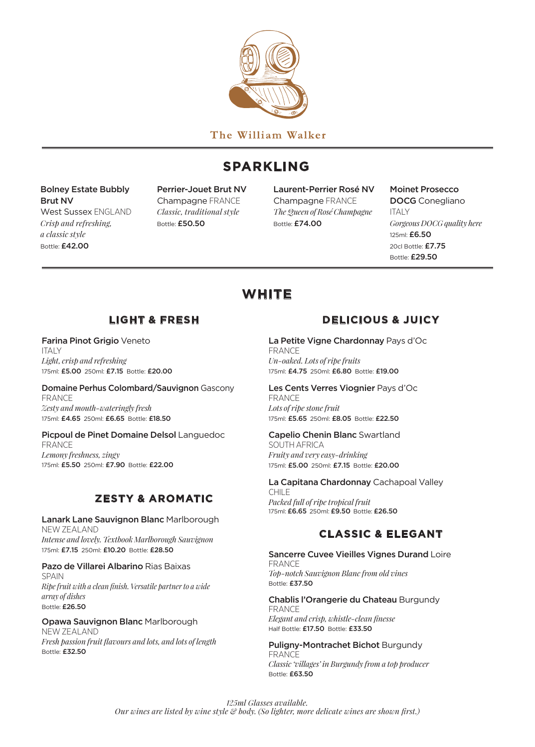

The William Walker

# **SPARKLING**

### Bolney Estate Bubbly Brut NV

West Sussex ENGLAND *Crisp and refreshing, a classic style* Bottle: £42.00

Perrier-Jouet Brut NV Champagne FRANCE *Classic, traditional style* Bottle: £50.50

Laurent-Perrier Rosé NV Champagne FRANCE *The Queen of Rosé Champagne* Bottle: £74.00

Moinet Prosecco

DOCG Conegliano ITALY *Gorgeous DOCG quality here* 125ml: £6.50 20cl Bottle: £7.75 Bottle: £29.50

# **WHITE**

### **LIGHT & FRESH**

#### Farina Pinot Grigio Veneto ITALY *Light, crisp and refreshing* 175ml: £5.00 250ml: £7.15 Bottle: £20.00

#### Domaine Perhus Colombard/Sauvignon Gascony FRANCE *Zesty and mouth-wateringly fresh*  175ml: £4.65 250ml: £6.65 Bottle: £18.50

### Picpoul de Pinet Domaine Delsol Languedoc FRANCE

*Lemony freshness, zingy* 175ml: £5.50 250ml: £7.90 Bottle: £22.00

## **ZESTY & AROMATIC**

#### Lanark Lane Sauvignon Blanc Marlborough NEW ZEALAND *Intense and lovely. Textbook Marlborough Sauvignon*

175ml: £7.15 250ml: £10.20 Bottle: £28.50

### Pazo de Villarei Albarino Rias Baixas

SPAIN *Ripe fruit with a clean finish. Versatile partner to a wide array of dishes* Bottle: £26.50

### Opawa Sauvignon Blanc Marlborough

NEW ZEALAND *Fresh passion fruit flavours and lots, and lots of length* Bottle: £32.50

## **DELICIOUS & JUICY**

#### La Petite Vigne Chardonnay Pays d'Oc FRANCE

*Un-oaked. Lots of ripe fruits* 175ml: £4.75 250ml: £6.80 Bottle: £19.00

#### Les Cents Verres Viognier Pays d'Oc FRANCE

*Lots of ripe stone fruit* 175ml: £5.65 250ml: £8.05 Bottle: £22.50

### Capelio Chenin Blanc Swartland

SOUTH AFRICA *Fruity and very easy-drinking* 175ml: £5.00 250ml: £7.15 Bottle: £20.00

#### La Capitana Chardonnay Cachapoal Valley CHILE

*Packed full of ripe tropical fruit* 175ml: £6.65 250ml: £9.50 Bottle: £26.50

## **CLASSIC & ELEGANT**

#### Sancerre Cuvee Vieilles Vignes Durand Loire FRANCE *Top-notch Sauvignon Blanc from old vines* Bottle: £37.50

#### Chablis l'Orangerie du Chateau Burgundy FRANCE *Elegant and crisp, whistle-clean finesse* Half Bottle: £17.50 Bottle: £33.50

Puligny-Montrachet Bichot Burgundy FRANCE *Classic 'villages' in Burgundy from a top producer* Bottle: £63.50